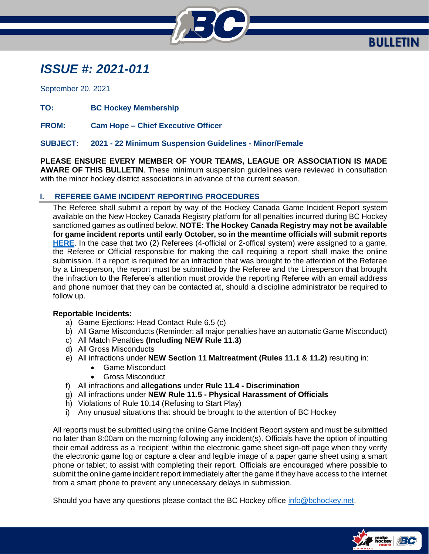

## *ISSUE #: 2021-011*

September 20, 2021

**TO: BC Hockey Membership**

**FROM: Cam Hope – Chief Executive Officer**

## **SUBJECT: 2021 - 22 Minimum Suspension Guidelines - Minor/Female**

**PLEASE ENSURE EVERY MEMBER OF YOUR TEAMS, LEAGUE OR ASSOCIATION IS MADE AWARE OF THIS BULLETIN**. These minimum suspension guidelines were reviewed in consultation with the minor hockey district associations in advance of the current season.

## **I. REFEREE GAME INCIDENT REPORTING PROCEDURES**

The Referee shall submit a report by way of the Hockey Canada Game Incident Report system available on the New Hockey Canada Registry platform for all penalties incurred during BC Hockey sanctioned games as outlined below. **NOTE: The Hockey Canada Registry may not be available for game incident reports until early October, so in the meantime officials will submit reports [HERE](https://forms.office.com/Pages/ResponsePage.aspx?id=ee2Cue-wOkaOCjiX8IKzUqNmCez_uTxGk9kcCinfv5VUMklVT09LTzc5VzFZQ1RQSTRSMks4QkVIRS4u)**. In the case that two (2) Referees (4-official or 2-offical system) were assigned to a game, the Referee or Official responsible for making the call requiring a report shall make the online submission. If a report is required for an infraction that was brought to the attention of the Referee by a Linesperson, the report must be submitted by the Referee and the Linesperson that brought the infraction to the Referee's attention must provide the reporting Referee with an email address and phone number that they can be contacted at, should a discipline administrator be required to follow up.

## **Reportable Incidents:**

- a) Game Ejections: Head Contact Rule 6.5 (c)
- b) All Game Misconducts (Reminder: all major penalties have an automatic Game Misconduct)
- c) All Match Penalties **(Including NEW Rule 11.3)**
- d) All Gross Misconducts
- e) All infractions under **NEW Section 11 Maltreatment (Rules 11.1 & 11.2)** resulting in:
	- Game Misconduct
	- Gross Misconduct
- f) All infractions and **allegations** under **Rule 11.4 - Discrimination**
- g) All infractions under **NEW Rule 11.5 - Physical Harassment of Officials**
- h) Violations of Rule 10.14 (Refusing to Start Play)
- i) Any unusual situations that should be brought to the attention of BC Hockey

All reports must be submitted using the online Game Incident Report system and must be submitted no later than 8:00am on the morning following any incident(s). Officials have the option of inputting their email address as a 'recipient' within the electronic game sheet sign-off page when they verify the electronic game log or capture a clear and legible image of a paper game sheet using a smart phone or tablet; to assist with completing their report. Officials are encouraged where possible to submit the online game incident report immediately after the game if they have access to the internet from a smart phone to prevent any unnecessary delays in submission.

Should you have any questions please contact the BC Hockey office [info@bchockey.net.](mailto:info@bchockey.net)

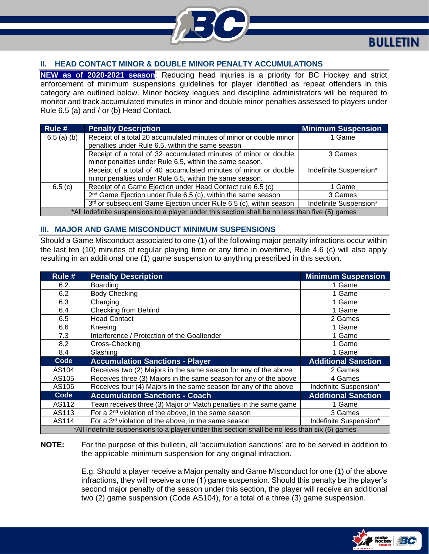

## **II. HEAD CONTACT MINOR & DOUBLE MINOR PENALTY ACCUMULATIONS**

**NEW as of 2020-2021 season**: Reducing head injuries is a priority for BC Hockey and strict enforcement of minimum suspensions guidelines for player identified as repeat offenders in this category are outlined below. Minor hockey leagues and discipline administrators will be required to monitor and track accumulated minutes in minor and double minor penalties assessed to players under Rule 6.5 (a) and / or (b) Head Contact.

| Rule #                                                                                          | <b>Penalty Description</b>                                               | <b>Minimum Suspension</b> |  |
|-------------------------------------------------------------------------------------------------|--------------------------------------------------------------------------|---------------------------|--|
| $6.5$ (a) (b)                                                                                   | Receipt of a total 20 accumulated minutes of minor or double minor       | 1 Game                    |  |
|                                                                                                 | penalties under Rule 6.5, within the same season                         |                           |  |
|                                                                                                 | Receipt of a total of 32 accumulated minutes of minor or double          | 3 Games                   |  |
|                                                                                                 | minor penalties under Rule 6.5, within the same season.                  |                           |  |
|                                                                                                 | Receipt of a total of 40 accumulated minutes of minor or double          | Indefinite Suspension*    |  |
|                                                                                                 | minor penalties under Rule 6.5, within the same season.                  |                           |  |
| 6.5(c)                                                                                          | Receipt of a Game Ejection under Head Contact rule 6.5 (c)               | 1 Game                    |  |
|                                                                                                 | 2 <sup>nd</sup> Game Ejection under Rule 6.5 (c), within the same season | 3 Games                   |  |
|                                                                                                 | 3rd or subsequent Game Ejection under Rule 6.5 (c), within season        | Indefinite Suspension*    |  |
| *All Indefinite suspensions to a player under this section shall be no less than five (5) games |                                                                          |                           |  |

#### **III. MAJOR AND GAME MISCONDUCT MINIMUM SUSPENSIONS**

Should a Game Misconduct associated to one (1) of the following major penalty infractions occur within the last ten (10) minutes of regular playing time or any time in overtime, Rule 4.6 (c) will also apply resulting in an additional one (1) game suspension to anything prescribed in this section.

| Rule #                                                                                         | <b>Penalty Description</b>                                        | <b>Minimum Suspension</b>  |
|------------------------------------------------------------------------------------------------|-------------------------------------------------------------------|----------------------------|
| 6.2                                                                                            | Boarding                                                          | 1 Game                     |
| 6.2                                                                                            | <b>Body Checking</b>                                              | 1 Game                     |
| 6.3                                                                                            | Charging                                                          | 1 Game                     |
| 6.4                                                                                            | Checking from Behind                                              | 1 Game                     |
| 6.5                                                                                            | <b>Head Contact</b>                                               | 2 Games                    |
| 6.6                                                                                            | Kneeing                                                           | 1 Game                     |
| 7.3                                                                                            | Interference / Protection of the Goaltender                       | 1 Game                     |
| 8.2                                                                                            | Cross-Checking                                                    | 1 Game                     |
| 8.4                                                                                            | Slashing                                                          | 1 Game                     |
| Code                                                                                           | <b>Accumulation Sanctions - Player</b>                            | <b>Additional Sanction</b> |
| AS104                                                                                          | Receives two (2) Majors in the same season for any of the above   | 2 Games                    |
| AS105                                                                                          | Receives three (3) Majors in the same season for any of the above | 4 Games                    |
| AS106                                                                                          | Receives four (4) Majors in the same season for any of the above  | Indefinite Suspension*     |
| Code                                                                                           | <b>Accumulation Sanctions - Coach</b>                             | <b>Additional Sanction</b> |
| AS112                                                                                          | Team receives three (3) Major or Match penalties in the same game | 1 Game                     |
| AS113                                                                                          | For a 2 <sup>nd</sup> violation of the above, in the same season  | 3 Games                    |
| AS114                                                                                          | For a 3 <sup>rd</sup> violation of the above, in the same season  | Indefinite Suspension*     |
| *All Indefinite suspensions to a player under this section shall be no less than six (6) games |                                                                   |                            |

**NOTE:** For the purpose of this bulletin, all 'accumulation sanctions' are to be served in addition to the applicable minimum suspension for any original infraction.

> E.g. Should a player receive a Major penalty and Game Misconduct for one (1) of the above infractions, they will receive a one (1) game suspension. Should this penalty be the player's second major penalty of the season under this section, the player will receive an additional two (2) game suspension (Code AS104), for a total of a three (3) game suspension.

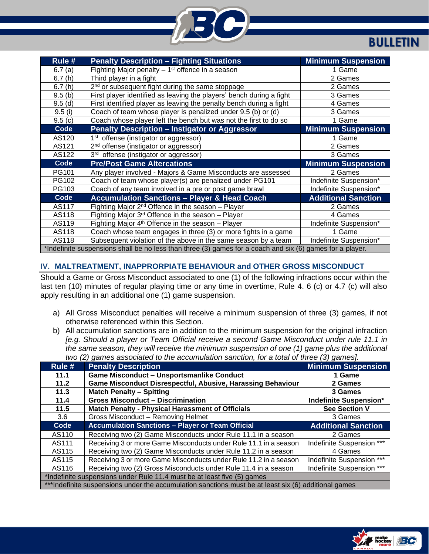

## **BULLETIN**

| Rule # | <b>Penalty Description - Fighting Situations</b>                                                          | <b>Minimum Suspension</b>  |  |
|--------|-----------------------------------------------------------------------------------------------------------|----------------------------|--|
| 6.7(a) | Fighting Major penalty $-1$ <sup>st</sup> offence in a season                                             | 1 Game                     |  |
| 6.7(h) | Third player in a fight                                                                                   | 2 Games                    |  |
| 6.7(h) | 2 <sup>nd</sup> or subsequent fight during the same stoppage                                              | 2 Games                    |  |
| 9.5(b) | First player identified as leaving the players' bench during a fight                                      | 3 Games                    |  |
| 9.5(d) | First identified player as leaving the penalty bench during a fight                                       | 4 Games                    |  |
| 9.5(i) | Coach of team whose player is penalized under 9.5 (b) or (d)                                              | 3 Games                    |  |
| 9.5(c) | Coach whose player left the bench but was not the first to do so                                          | 1 Game                     |  |
| Code   | <b>Penalty Description - Instigator or Aggressor</b>                                                      | <b>Minimum Suspension</b>  |  |
| AS120  | 1 <sup>st</sup> offense (instigator or aggressor)                                                         | 1 Game                     |  |
| AS121  | 2 <sup>nd</sup> offense (instigator or aggressor)                                                         | 2 Games                    |  |
| AS122  | 3rd offense (instigator or aggressor)                                                                     | 3 Games                    |  |
| Code   | <b>Pre/Post Game Altercations</b>                                                                         | <b>Minimum Suspension</b>  |  |
| PG101  | Any player involved - Majors & Game Misconducts are assessed                                              | 2 Games                    |  |
| PG102  | Coach of team whose player(s) are penalized under PG101                                                   | Indefinite Suspension*     |  |
| PG103  | Coach of any team involved in a pre or post game brawl                                                    | Indefinite Suspension*     |  |
| Code   | <b>Accumulation Sanctions - Player &amp; Head Coach</b>                                                   | <b>Additional Sanction</b> |  |
| AS117  | Fighting Major $2^{nd}$ Offence in the season - Player                                                    | 2 Games                    |  |
| AS118  | Fighting Major $3rd$ Offence in the season – Player                                                       | 4 Games                    |  |
| AS119  | Fighting Major $4th$ Offence in the season – Player                                                       | Indefinite Suspension*     |  |
| AS118  | Coach whose team engages in three (3) or more fights in a game                                            | 1 Game                     |  |
| AS118  | Subsequent violation of the above in the same season by a team                                            | Indefinite Suspension*     |  |
|        | *Indefinite suspensions shall be no less than three (3) games for a coach and six (6) games for a player. |                            |  |

## **IV. MALTREATMENT, INAPPRORPIATE BEHAVIOUR and OTHER GROSS MISCONDUCT**

Should a Game or Gross Misconduct associated to one (1) of the following infractions occur within the last ten (10) minutes of regular playing time or any time in overtime, Rule 4. 6 (c) or 4.7 (c) will also apply resulting in an additional one (1) game suspension.

- a) All Gross Misconduct penalties will receive a minimum suspension of three (3) games, if not otherwise referenced within this Section.
- b) All accumulation sanctions are in addition to the minimum suspension for the original infraction *[e.g. Should a player or Team Official receive a second Game Misconduct under rule 11.1 in the same season, they will receive the minimum suspension of one (1) game plus the additional two (2) games associated to the accumulation sanction, for a total of three (3) games].*

| Rule #                                                                                               | two (2) games associated to the accumulation sunction, for a total or times (0) games).<br><b>Penalty Description</b> | <b>Minimum Suspension</b>  |  |
|------------------------------------------------------------------------------------------------------|-----------------------------------------------------------------------------------------------------------------------|----------------------------|--|
| 11.1                                                                                                 | <b>Game Misconduct - Unsportsmanlike Conduct</b>                                                                      | 1 Game                     |  |
| 11.2                                                                                                 | Game Misconduct Disrespectful, Abusive, Harassing Behaviour                                                           | 2 Games                    |  |
| 11.3                                                                                                 | <b>Match Penalty - Spitting</b><br>3 Games                                                                            |                            |  |
| 11.4                                                                                                 | <b>Gross Misconduct - Discrimination</b><br><b>Indefinite Suspension*</b>                                             |                            |  |
| 11.5                                                                                                 | Match Penalty - Physical Harassment of Officials                                                                      | <b>See Section V</b>       |  |
| 3.6                                                                                                  | Gross Misconduct - Removing Helmet                                                                                    | 3 Games                    |  |
| Code                                                                                                 | <b>Accumulation Sanctions - Player or Team Official</b>                                                               | <b>Additional Sanction</b> |  |
| AS110                                                                                                | Receiving two (2) Game Misconducts under Rule 11.1 in a season                                                        | 2 Games                    |  |
| AS111                                                                                                | Receiving 3 or more Game Misconducts under Rule 11.1 in a season                                                      | Indefinite Suspension ***  |  |
| AS115                                                                                                | Receiving two (2) Game Misconducts under Rule 11.2 in a season                                                        | 4 Games                    |  |
| AS115                                                                                                | Receiving 3 or more Game Misconducts under Rule 11.2 in a season                                                      | Indefinite Suspension ***  |  |
| AS116                                                                                                | Receiving two (2) Gross Misconducts under Rule 11.4 in a season                                                       | Indefinite Suspension ***  |  |
| *Indefinite suspensions under Rule 11.4 must be at least five (5) games                              |                                                                                                                       |                            |  |
| ***Indefinite suspensions under the accumulation sanctions must be at least six (6) additional games |                                                                                                                       |                            |  |

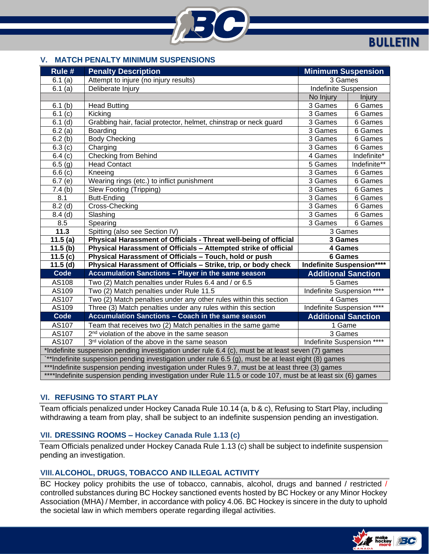

# **BULLETIN**

### **V. MATCH PENALTY MINIMUM SUSPENSIONS**

| Rule #                                                                                                      | <b>Penalty Description</b>                                                  | <b>Minimum Suspension</b>        |               |
|-------------------------------------------------------------------------------------------------------------|-----------------------------------------------------------------------------|----------------------------------|---------------|
| 6.1(a)                                                                                                      | Attempt to injure (no injury results)                                       | 3 Games                          |               |
| 6.1(a)                                                                                                      | Deliberate Injury                                                           | <b>Indefinite Suspension</b>     |               |
|                                                                                                             |                                                                             | No Injury                        | <b>Injury</b> |
| 6.1(b)                                                                                                      | <b>Head Butting</b>                                                         | 3 Games                          | 6 Games       |
| 6.1(c)                                                                                                      | Kicking                                                                     | 3 Games                          | 6 Games       |
| $6.1$ (d)                                                                                                   | Grabbing hair, facial protector, helmet, chinstrap or neck guard            | 3 Games                          | 6 Games       |
| 6.2(a)                                                                                                      | Boarding                                                                    | 3 Games                          | 6 Games       |
| 6.2(b)                                                                                                      | <b>Body Checking</b>                                                        | 3 Games                          | 6 Games       |
| 6.3(c)                                                                                                      | Charging                                                                    | 3 Games                          | 6 Games       |
| 6.4(c)                                                                                                      | <b>Checking from Behind</b>                                                 | 4 Games                          | Indefinite*   |
| 6.5(g)                                                                                                      | <b>Head Contact</b>                                                         | 5 Games                          | Indefinite**  |
| 6.6(c)                                                                                                      | Kneeing                                                                     | 3 Games                          | 6 Games       |
| 6.7(e)                                                                                                      | Wearing rings (etc.) to inflict punishment                                  | 3 Games                          | 6 Games       |
| 7.4(b)                                                                                                      | Slew Footing (Tripping)                                                     | 3 Games                          | 6 Games       |
| 8.1                                                                                                         | <b>Butt-Ending</b>                                                          | 3 Games                          | 6 Games       |
| $8.2$ (d)                                                                                                   | Cross-Checking                                                              | 3 Games                          | 6 Games       |
| $8.4$ (d)                                                                                                   | Slashing                                                                    | 3 Games                          | 6 Games       |
| 8.5                                                                                                         | Spearing                                                                    | 3 Games                          | 6 Games       |
| 11.3                                                                                                        | Spitting (also see Section IV)                                              | 3 Games                          |               |
| 11.5(a)                                                                                                     | Physical Harassment of Officials - Threat well-being of official            | 3 Games                          |               |
| 11.5(b)                                                                                                     | Physical Harassment of Officials - Attempted strike of official             | 4 Games                          |               |
| 11.5(c)                                                                                                     | Physical Harassment of Officials - Touch, hold or push                      | 6 Games                          |               |
| 11.5(d)                                                                                                     | Physical Harassment of Officials - Strike, trip, or body check              | <b>Indefinite Suspension****</b> |               |
| Code                                                                                                        | Accumulation Sanctions - Player in the same season                          | <b>Additional Sanction</b>       |               |
| AS108                                                                                                       | Two (2) Match penalties under Rules 6.4 and / or 6.5                        | 5 Games                          |               |
| AS109                                                                                                       | Two (2) Match penalties under Rule 11.5                                     | Indefinite Suspension ****       |               |
| AS107                                                                                                       | Two (2) Match penalties under any other rules within this section           | 4 Games                          |               |
| AS109                                                                                                       | Three (3) Match penalties under any rules within this section               | Indefinite Suspension ****       |               |
| Code                                                                                                        | Accumulation Sanctions - Coach in the same season                           | <b>Additional Sanction</b>       |               |
| AS107                                                                                                       | Team that receives two (2) Match penalties in the same game                 | 1 Game                           |               |
| AS107                                                                                                       | 2 <sup>nd</sup> violation of the above in the same season                   | 3 Games                          |               |
| AS107                                                                                                       | Indefinite Suspension ****<br>3rd violation of the above in the same season |                                  |               |
| *Indefinite suspension pending investigation under rule 6.4 (c), must be at least seven (7) games           |                                                                             |                                  |               |
| **Indefinite suspension pending investigation under rule 6.5 (g), must be at least eight (8) games          |                                                                             |                                  |               |
| ***Indefinite suspension pending investigation under Rules 9.7, must be at least three (3) games            |                                                                             |                                  |               |
| ****Indefinite suspension pending investigation under Rule 11.5 or code 107, must be at least six (6) games |                                                                             |                                  |               |

## **VI. REFUSING TO START PLAY**

Team officials penalized under Hockey Canada Rule 10.14 (a, b & c), Refusing to Start Play, including withdrawing a team from play, shall be subject to an indefinite suspension pending an investigation.

## **VII. DRESSING ROOMS – Hockey Canada Rule 1.13 (c)**

Team Officials penalized under Hockey Canada Rule 1.13 (c) shall be subject to indefinite suspension pending an investigation.

#### **VIII.ALCOHOL, DRUGS, TOBACCO AND ILLEGAL ACTIVITY**

BC Hockey policy prohibits the use of tobacco, cannabis, alcohol, drugs and banned / restricted / controlled substances during BC Hockey sanctioned events hosted by BC Hockey or any Minor Hockey Association (MHA) / Member, in accordance with policy 4.06. BC Hockey is sincere in the duty to uphold the societal law in which members operate regarding illegal activities.

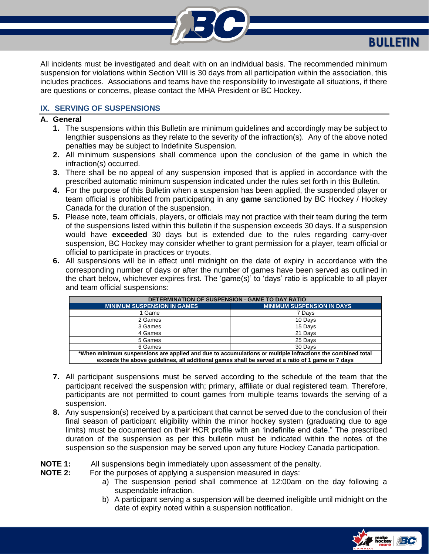

All incidents must be investigated and dealt with on an individual basis. The recommended minimum suspension for violations within Section VIII is 30 days from all participation within the association, this includes practices. Associations and teams have the responsibility to investigate all situations, if there are questions or concerns, please contact the MHA President or BC Hockey.

## **IX. SERVING OF SUSPENSIONS**

#### **A. General**

- **1.** The suspensions within this Bulletin are minimum guidelines and accordingly may be subject to lengthier suspensions as they relate to the severity of the infraction(s). Any of the above noted penalties may be subject to Indefinite Suspension.
- **2.** All minimum suspensions shall commence upon the conclusion of the game in which the infraction(s) occurred.
- **3.** There shall be no appeal of any suspension imposed that is applied in accordance with the prescribed automatic minimum suspension indicated under the rules set forth in this Bulletin.
- **4.** For the purpose of this Bulletin when a suspension has been applied, the suspended player or team official is prohibited from participating in any **game** sanctioned by BC Hockey / Hockey Canada for the duration of the suspension.
- **5.** Please note, team officials, players, or officials may not practice with their team during the term of the suspensions listed within this bulletin if the suspension exceeds 30 days. If a suspension would have **exceeded** 30 days but is extended due to the rules regarding carry-over suspension, BC Hockey may consider whether to grant permission for a player, team official or official to participate in practices or tryouts.
- **6.** All suspensions will be in effect until midnight on the date of expiry in accordance with the corresponding number of days or after the number of games have been served as outlined in the chart below, whichever expires first. The 'game(s)' to 'days' ratio is applicable to all player and team official suspensions:

| DETERMINATION OF SUSPENSION - GAME TO DAY RATIO                                                           |                                   |  |  |
|-----------------------------------------------------------------------------------------------------------|-----------------------------------|--|--|
| <b>MINIMUM SUSPENSION IN GAMES</b>                                                                        | <b>MINIMUM SUSPENSION IN DAYS</b> |  |  |
| 1 Game                                                                                                    | 7 Days                            |  |  |
| 2 Games                                                                                                   | 10 Days                           |  |  |
| 3 Games                                                                                                   | 15 Days                           |  |  |
| 4 Games                                                                                                   | 21 Days                           |  |  |
| 5 Games                                                                                                   | 25 Days                           |  |  |
| 6 Games                                                                                                   | 30 Days                           |  |  |
| *When minimum suspensions are applied and due to accumulations or multiple infractions the combined total |                                   |  |  |

**exceeds the above guidelines, all additional games shall be served at a ratio of 1 game or 7 days**

- **7.** All participant suspensions must be served according to the schedule of the team that the participant received the suspension with; primary, affiliate or dual registered team. Therefore, participants are not permitted to count games from multiple teams towards the serving of a suspension.
- **8.** Any suspension(s) received by a participant that cannot be served due to the conclusion of their final season of participant eligibility within the minor hockey system (graduating due to age limits) must be documented on their HCR profile with an 'indefinite end date." The prescribed duration of the suspension as per this bulletin must be indicated within the notes of the suspension so the suspension may be served upon any future Hockey Canada participation.

# **NOTE 1:** All suspensions begin immediately upon assessment of the penalty.<br>**NOTE 2:** For the purposes of applying a suspension measured in davs:

For the purposes of applying a suspension measured in days:

- a) The suspension period shall commence at 12:00am on the day following a suspendable infraction.
- b) A participant serving a suspension will be deemed ineligible until midnight on the date of expiry noted within a suspension notification.

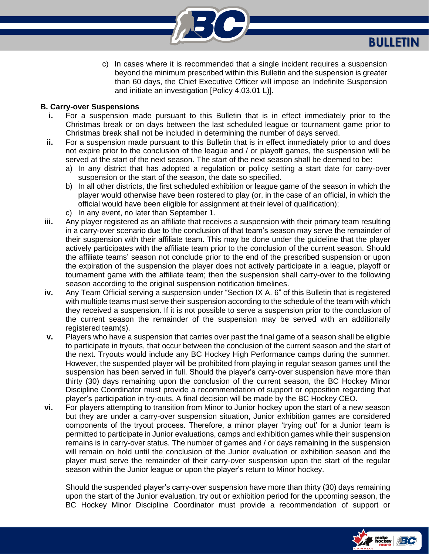

c) In cases where it is recommended that a single incident requires a suspension beyond the minimum prescribed within this Bulletin and the suspension is greater than 60 days, the Chief Executive Officer will impose an Indefinite Suspension and initiate an investigation [Policy 4.03.01 L)].

### **B. Carry-over Suspensions**

- **i.** For a suspension made pursuant to this Bulletin that is in effect immediately prior to the Christmas break or on days between the last scheduled league or tournament game prior to Christmas break shall not be included in determining the number of days served.
- **ii.** For a suspension made pursuant to this Bulletin that is in effect immediately prior to and does not expire prior to the conclusion of the league and / or playoff games, the suspension will be served at the start of the next season. The start of the next season shall be deemed to be:
	- a) In any district that has adopted a regulation or policy setting a start date for carry-over suspension or the start of the season, the date so specified.
	- b) In all other districts, the first scheduled exhibition or league game of the season in which the player would otherwise have been rostered to play (or, in the case of an official, in which the official would have been eligible for assignment at their level of qualification);
	- c) In any event, no later than September 1.
- **iii.** Any player registered as an affiliate that receives a suspension with their primary team resulting in a carry-over scenario due to the conclusion of that team's season may serve the remainder of their suspension with their affiliate team. This may be done under the guideline that the player actively participates with the affiliate team prior to the conclusion of the current season. Should the affiliate teams' season not conclude prior to the end of the prescribed suspension or upon the expiration of the suspension the player does not actively participate in a league, playoff or tournament game with the affiliate team; then the suspension shall carry-over to the following season according to the original suspension notification timelines.
- **iv.** Any Team Official serving a suspension under "Section IX A. 6" of this Bulletin that is registered with multiple teams must serve their suspension according to the schedule of the team with which they received a suspension. If it is not possible to serve a suspension prior to the conclusion of the current season the remainder of the suspension may be served with an additionally registered team(s).
- **v.** Players who have a suspension that carries over past the final game of a season shall be eligible to participate in tryouts, that occur between the conclusion of the current season and the start of the next. Tryouts would include any BC Hockey High Performance camps during the summer. However, the suspended player will be prohibited from playing in regular season games until the suspension has been served in full. Should the player's carry-over suspension have more than thirty (30) days remaining upon the conclusion of the current season, the BC Hockey Minor Discipline Coordinator must provide a recommendation of support or opposition regarding that player's participation in try-outs. A final decision will be made by the BC Hockey CEO.
- **vi.** For players attempting to transition from Minor to Junior hockey upon the start of a new season but they are under a carry-over suspension situation, Junior exhibition games are considered components of the tryout process. Therefore, a minor player 'trying out' for a Junior team is permitted to participate in Junior evaluations, camps and exhibition games while their suspension remains is in carry-over status. The number of games and / or days remaining in the suspension will remain on hold until the conclusion of the Junior evaluation or exhibition season and the player must serve the remainder of their carry-over suspension upon the start of the regular season within the Junior league or upon the player's return to Minor hockey.

Should the suspended player's carry-over suspension have more than thirty (30) days remaining upon the start of the Junior evaluation, try out or exhibition period for the upcoming season, the BC Hockey Minor Discipline Coordinator must provide a recommendation of support or